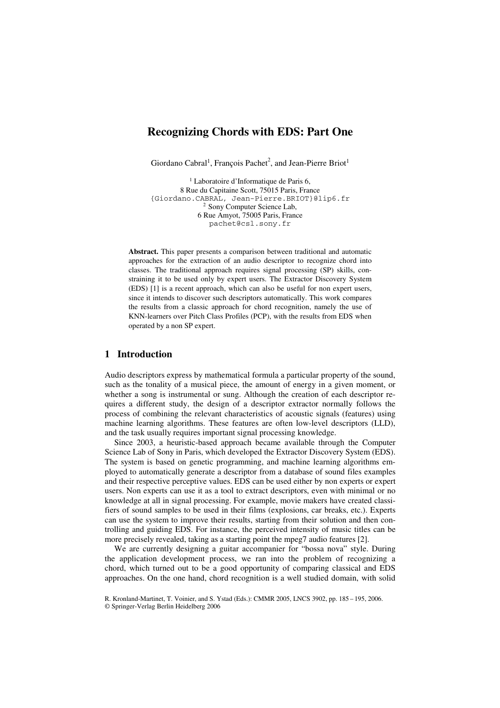# **Recognizing Chords with EDS: Part One**

Giordano Cabral<sup>1</sup>, François Pachet<sup>2</sup>, and Jean-Pierre Briot<sup>1</sup>

<sup>1</sup> Laboratoire d'Informatique de Paris 6, 8 Rue du Capitaine Scott, 75015 Paris, France {Giordano.CABRAL, Jean-Pierre.BRIOT}@lip6.fr <sup>2</sup> Sony Computer Science Lab, 6 Rue Amyot, 75005 Paris, France pachet@csl.sony.fr

**Abstract.** This paper presents a comparison between traditional and automatic approaches for the extraction of an audio descriptor to recognize chord into classes. The traditional approach requires signal processing (SP) skills, constraining it to be used only by expert users. The Extractor Discovery System (EDS) [1] is a recent approach, which can also be useful for non expert users, since it intends to discover such descriptors automatically. This work compares the results from a classic approach for chord recognition, namely the use of KNN-learners over Pitch Class Profiles (PCP), with the results from EDS when operated by a non SP expert.

# **1 Introduction**

Audio descriptors express by mathematical formula a particular property of the sound, such as the tonality of a musical piece, the amount of energy in a given moment, or whether a song is instrumental or sung. Although the creation of each descriptor requires a different study, the design of a descriptor extractor normally follows the process of combining the relevant characteristics of acoustic signals (features) using machine learning algorithms. These features are often low-level descriptors (LLD), and the task usually requires important signal processing knowledge.

Since 2003, a heuristic-based approach became available through the Computer Science Lab of Sony in Paris, which developed the Extractor Discovery System (EDS). The system is based on genetic programming, and machine learning algorithms employed to automatically generate a descriptor from a database of sound files examples and their respective perceptive values. EDS can be used either by non experts or expert users. Non experts can use it as a tool to extract descriptors, even with minimal or no knowledge at all in signal processing. For example, movie makers have created classifiers of sound samples to be used in their films (explosions, car breaks, etc.). Experts can use the system to improve their results, starting from their solution and then controlling and guiding EDS. For instance, the perceived intensity of music titles can be more precisely revealed, taking as a starting point the mpeg7 audio features [2].

We are currently designing a guitar accompanier for "bossa nova" style. During the application development process, we ran into the problem of recognizing a chord, which turned out to be a good opportunity of comparing classical and EDS approaches. On the one hand, chord recognition is a well studied domain, with solid

R. Kronland-Martinet, T. Voinier, and S. Ystad (Eds.): CMMR 2005, LNCS 3902, pp. 185 – 195, 2006. © Springer-Verlag Berlin Heidelberg 2006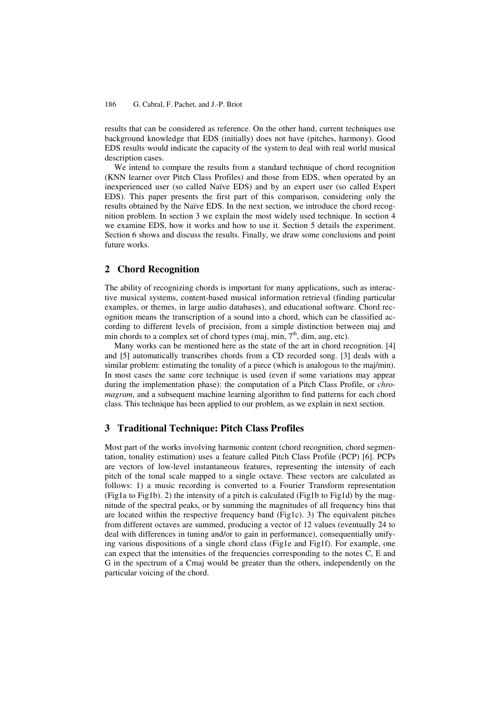results that can be considered as reference. On the other hand, current techniques use background knowledge that EDS (initially) does not have (pitches, harmony). Good EDS results would indicate the capacity of the system to deal with real world musical description cases.

We intend to compare the results from a standard technique of chord recognition (KNN learner over Pitch Class Profiles) and those from EDS, when operated by an inexperienced user (so called Naïve EDS) and by an expert user (so called Expert EDS). This paper presents the first part of this comparison, considering only the results obtained by the Naïve EDS. In the next section, we introduce the chord recognition problem. In section 3 we explain the most widely used technique. In section 4 we examine EDS, how it works and how to use it. Section 5 details the experiment. Section 6 shows and discuss the results. Finally, we draw some conclusions and point future works.

## **2 Chord Recognition**

The ability of recognizing chords is important for many applications, such as interactive musical systems, content-based musical information retrieval (finding particular examples, or themes, in large audio databases), and educational software. Chord recognition means the transcription of a sound into a chord, which can be classified according to different levels of precision, from a simple distinction between maj and min chords to a complex set of chord types (maj, min,  $7<sup>th</sup>$ , dim, aug, etc).

Many works can be mentioned here as the state of the art in chord recognition. [4] and [5] automatically transcribes chords from a CD recorded song. [3] deals with a similar problem: estimating the tonality of a piece (which is analogous to the maj/min). In most cases the same core technique is used (even if some variations may appear during the implementation phase): the computation of a Pitch Class Profile, or *chromagram*, and a subsequent machine learning algorithm to find patterns for each chord class. This technique has been applied to our problem, as we explain in next section.

### **3 Traditional Technique: Pitch Class Profiles**

Most part of the works involving harmonic content (chord recognition, chord segmentation, tonality estimation) uses a feature called Pitch Class Profile (PCP) [6]. PCPs are vectors of low-level instantaneous features, representing the intensity of each pitch of the tonal scale mapped to a single octave. These vectors are calculated as follows: 1) a music recording is converted to a Fourier Transform representation (Fig1a to Fig1b). 2) the intensity of a pitch is calculated (Fig1b to Fig1d) by the magnitude of the spectral peaks, or by summing the magnitudes of all frequency bins that are located within the respective frequency band (Fig1c). 3) The equivalent pitches from different octaves are summed, producing a vector of 12 values (eventually 24 to deal with differences in tuning and/or to gain in performance), consequentially unifying various dispositions of a single chord class (Fig1e and Fig1f). For example, one can expect that the intensities of the frequencies corresponding to the notes C, E and G in the spectrum of a Cmaj would be greater than the others, independently on the particular voicing of the chord.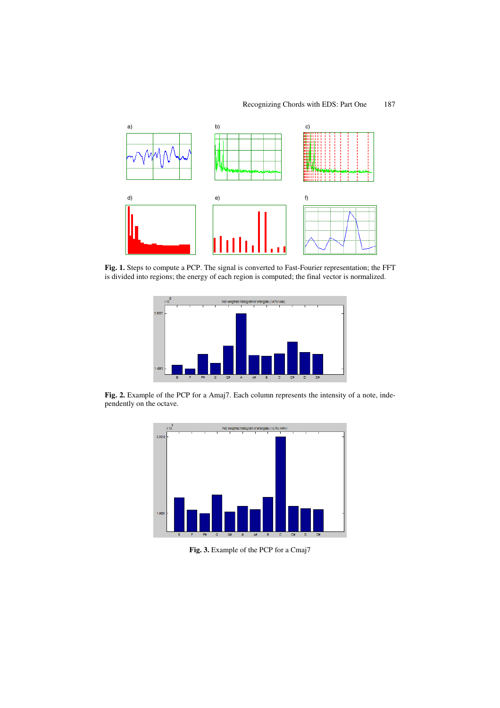

**Fig. 1.** Steps to compute a PCP. The signal is converted to Fast-Fourier representation; the FFT is divided into regions; the energy of each region is computed; the final vector is normalized.



Fig. 2. Example of the PCP for a Amaj7. Each column represents the intensity of a note, independently on the octave.



**Fig. 3.** Example of the PCP for a Cmaj7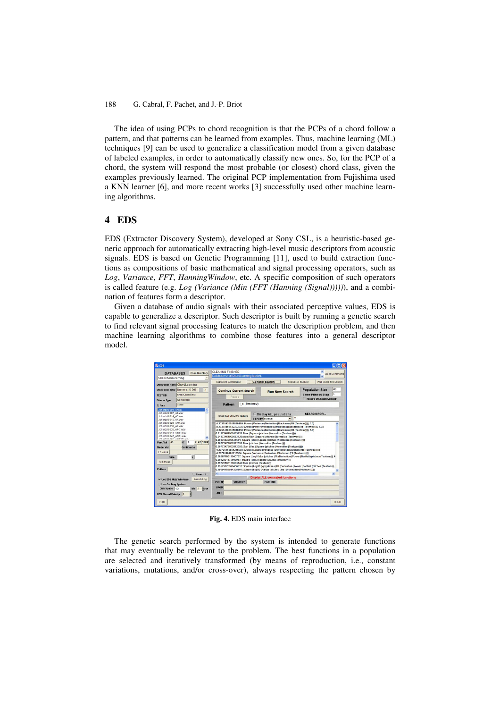The idea of using PCPs to chord recognition is that the PCPs of a chord follow a pattern, and that patterns can be learned from examples. Thus, machine learning (ML) techniques [9] can be used to generalize a classification model from a given database of labeled examples, in order to automatically classify new ones. So, for the PCP of a chord, the system will respond the most probable (or closest) chord class, given the examples previously learned. The original PCP implementation from Fujishima used a KNN learner [6], and more recent works [3] successfully used other machine learning algorithms.

# **4 EDS**

EDS (Extractor Discovery System), developed at Sony CSL, is a heuristic-based generic approach for automatically extracting high-level music descriptors from acoustic signals. EDS is based on Genetic Programming [11], used to build extraction functions as compositions of basic mathematical and signal processing operators, such as *Log*, *Variance*, *FFT*, *HanningWindow*, etc. A specific composition of such operators is called feature (e.g. *Log (Variance (Min (FFT (Hanning (Signal)))))*), and a combination of features form a descriptor.

Given a database of audio signals with their associated perceptive values, EDS is capable to generalize a descriptor. Such descriptor is built by running a genetic search to find relevant signal processing features to match the description problem, and then machine learning algorithms to combine those features into a general descriptor model.



**Fig. 4.** EDS main interface

The genetic search performed by the system is intended to generate functions that may eventually be relevant to the problem. The best functions in a population are selected and iteratively transformed (by means of reproduction, i.e., constant variations, mutations, and/or cross-over), always respecting the pattern chosen by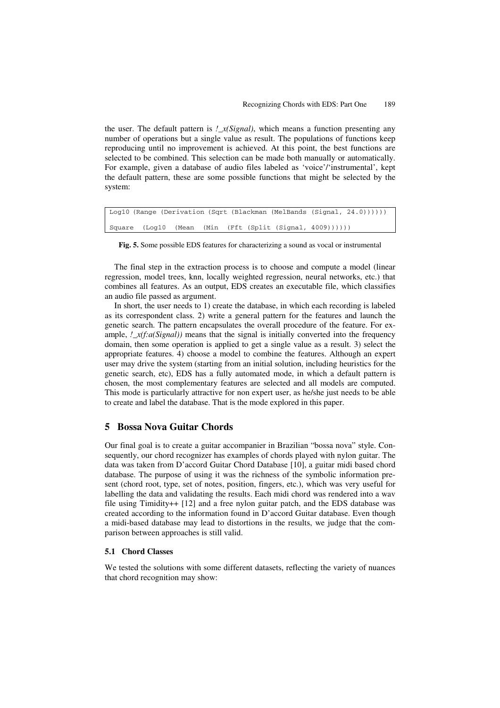the user. The default pattern is *!\_x(Signal)*, which means a function presenting any number of operations but a single value as result. The populations of functions keep reproducing until no improvement is achieved. At this point, the best functions are selected to be combined. This selection can be made both manually or automatically. For example, given a database of audio files labeled as 'voice'/'instrumental', kept the default pattern, these are some possible functions that might be selected by the system:

```
Log10 (Range (Derivation (Sqrt (Blackman (MelBands (Signal, 24.0)))))) 
Square (Log10 (Mean (Min (Fft (Split (Signal, 4009))))))
```
#### **Fig. 5.** Some possible EDS features for characterizing a sound as vocal or instrumental

The final step in the extraction process is to choose and compute a model (linear regression, model trees, knn, locally weighted regression, neural networks, etc.) that combines all features. As an output, EDS creates an executable file, which classifies an audio file passed as argument.

In short, the user needs to 1) create the database, in which each recording is labeled as its correspondent class. 2) write a general pattern for the features and launch the genetic search. The pattern encapsulates the overall procedure of the feature. For example, *!*  $x(f: a(Signal))$  means that the signal is initially converted into the frequency domain, then some operation is applied to get a single value as a result. 3) select the appropriate features. 4) choose a model to combine the features. Although an expert user may drive the system (starting from an initial solution, including heuristics for the genetic search, etc), EDS has a fully automated mode, in which a default pattern is chosen, the most complementary features are selected and all models are computed. This mode is particularly attractive for non expert user, as he/she just needs to be able to create and label the database. That is the mode explored in this paper.

# **5 Bossa Nova Guitar Chords**

Our final goal is to create a guitar accompanier in Brazilian "bossa nova" style. Consequently, our chord recognizer has examples of chords played with nylon guitar. The data was taken from D'accord Guitar Chord Database [10], a guitar midi based chord database. The purpose of using it was the richness of the symbolic information present (chord root, type, set of notes, position, fingers, etc.), which was very useful for labelling the data and validating the results. Each midi chord was rendered into a wav file using Timidity++ [12] and a free nylon guitar patch, and the EDS database was created according to the information found in D'accord Guitar database. Even though a midi-based database may lead to distortions in the results, we judge that the comparison between approaches is still valid.

### **5.1 Chord Classes**

We tested the solutions with some different datasets, reflecting the variety of nuances that chord recognition may show: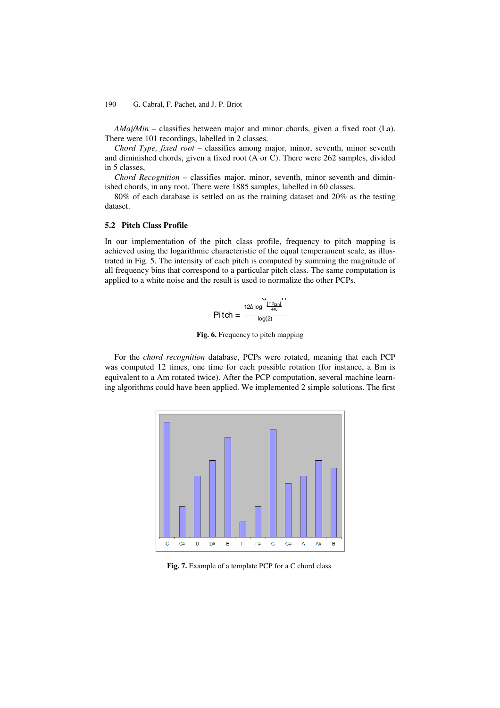*AMaj/Min* – classifies between major and minor chords, given a fixed root (La). There were 101 recordings, labelled in 2 classes.

*Chord Type, fixed root* – classifies among major, minor, seventh, minor seventh and diminished chords, given a fixed root (A or C). There were 262 samples, divided in 5 classes,

*Chord Recognition* – classifies major, minor, seventh, minor seventh and diminished chords, in any root. There were 1885 samples, labelled in 60 classes.

80% of each database is settled on as the training dataset and 20% as the testing dataset.

### **5.2 Pitch Class Profile**

In our implementation of the pitch class profile, frequency to pitch mapping is achieved using the logarithmic characteristic of the equal temperament scale, as illustrated in Fig. 5. The intensity of each pitch is computed by summing the magnitude of all frequency bins that correspond to a particular pitch class. The same computation is applied to a white noise and the result is used to normalize the other PCPs.

$$
Pitch = \frac{\sum_{\substack{12\hat{a} \log \frac{[H_{2\hat{b}n}]}{440}}}^{\text{U}_{\frac{[H_{2\hat{b}n}]}{440}}}
$$

**Fig. 6.** Frequency to pitch mapping

For the *chord recognition* database, PCPs were rotated, meaning that each PCP was computed 12 times, one time for each possible rotation (for instance, a Bm is equivalent to a Am rotated twice). After the PCP computation, several machine learning algorithms could have been applied. We implemented 2 simple solutions. The first



**Fig. 7.** Example of a template PCP for a C chord class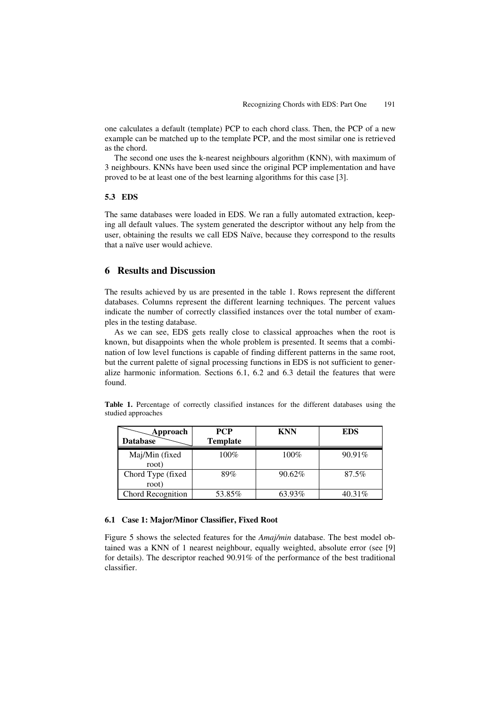one calculates a default (template) PCP to each chord class. Then, the PCP of a new example can be matched up to the template PCP, and the most similar one is retrieved as the chord.

The second one uses the k-nearest neighbours algorithm (KNN), with maximum of 3 neighbours. KNNs have been used since the original PCP implementation and have proved to be at least one of the best learning algorithms for this case [3].

### **5.3 EDS**

The same databases were loaded in EDS. We ran a fully automated extraction, keeping all default values. The system generated the descriptor without any help from the user, obtaining the results we call EDS Naïve, because they correspond to the results that a naïve user would achieve.

# **6 Results and Discussion**

The results achieved by us are presented in the table 1. Rows represent the different databases. Columns represent the different learning techniques. The percent values indicate the number of correctly classified instances over the total number of examples in the testing database.

As we can see, EDS gets really close to classical approaches when the root is known, but disappoints when the whole problem is presented. It seems that a combination of low level functions is capable of finding different patterns in the same root, but the current palette of signal processing functions in EDS is not sufficient to generalize harmonic information. Sections 6.1, 6.2 and 6.3 detail the features that were found.

| Approach<br><b>Database</b> | <b>PCP</b><br><b>Template</b> | <b>KNN</b> | <b>EDS</b> |
|-----------------------------|-------------------------------|------------|------------|
| Maj/Min (fixed<br>root)     | $100\%$                       | $100\%$    | 90.91%     |
| Chord Type (fixed)<br>root) | 89%                           | 90.62%     | 87.5%      |
| Chord Recognition           | 53.85%                        | 63.93%     | 40.31\%    |

Table 1. Percentage of correctly classified instances for the different databases using the studied approaches

### **6.1 Case 1: Major/Minor Classifier, Fixed Root**

Figure 5 shows the selected features for the *Amaj/min* database. The best model obtained was a KNN of 1 nearest neighbour, equally weighted, absolute error (see [9] for details). The descriptor reached 90.91% of the performance of the best traditional classifier.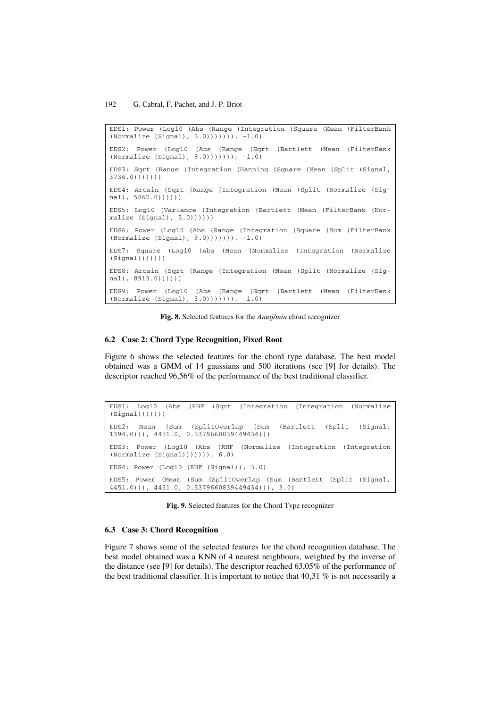EDS1: Power (Log10 (Abs (Range (Integration (Square (Mean (FilterBank  $(Normalize (Signal), 5.0))))$ ,  $-1.0)$ EDS2: Power (Log10 (Abs (Range (Sqrt (Bartlett (Mean (FilterBank (Normalize (Signal), 9.0))))))), -1.0) EDS3: Sqrt (Range (Integration (Hanning (Square (Mean (Split (Signal, 3736.0))))))) EDS4: Arcsin (Sqrt (Range (Integration (Mean (Split (Normalize (Signal), 5862.0)))))) EDS5: Log10 (Variance (Integration (Bartlett (Mean (FilterBank (Normalize  $(Signal)$ ,  $5.0))$ ))) EDS6: Power (Log10 (Abs (Range (Integration (Square (Sum (FilterBank (Normalize (Signal), 9.0))))))), -1.0) EDS7: Square (Log10 (Abs (Mean (Normalize (Integration (Normalize  $(Signal))))$ ))) EDS8: Arcsin (Sqrt (Range (Integration (Mean (Split (Normalize (Signal), 8913.0)))))) EDS9: Power (Log10 (Abs (Range (Sqrt (Bartlett (Mean (FilterBank (Normalize (Signal), 3.0))))))), -1.0)

**Fig. 8.** Selected features for the *Amaj/min* chord recognizer

#### **6.2 Case 2: Chord Type Recognition, Fixed Root**

Figure 6 shows the selected features for the chord type database. The best model obtained was a GMM of 14 gaussians and 500 iterations (see [9] for details). The descriptor reached 96,56% of the performance of the best traditional classifier.

```
EDS1: Log10 (Abs (RHF (Sqrt (Integration (Integration (Normalize 
(Simal)))))
EDS2: Mean (Sum (SplitOverlap (Sum (Bartlett (Split (Signal, 
1394.0))), 4451.0, 0.5379660839449434))) 
EDS3: Power (Log10 (Abs (RHF (Normalize (Integration (Integration 
(Normalize (Signal))))))), 6.0) 
EDS4: Power (Log10 (RHF (Signal)), 3.0) 
EDS5: Power (Mean (Sum (SplitOverlap (Sum (Bartlett (Split (Signal, 
4451.0))), 4451.0, 0.5379660839449434))), 3.0)
```
**Fig. 9.** Selected features for the Chord Type recognizer

#### **6.3 Case 3: Chord Recognition**

Figure 7 shows some of the selected features for the chord recognition database. The best model obtained was a KNN of 4 nearest neighbours, weighted by the inverse of the distance (see [9] for details). The descriptor reached 63,05% of the performance of the best traditional classifier. It is important to notice that  $40.31\%$  is not necessarily a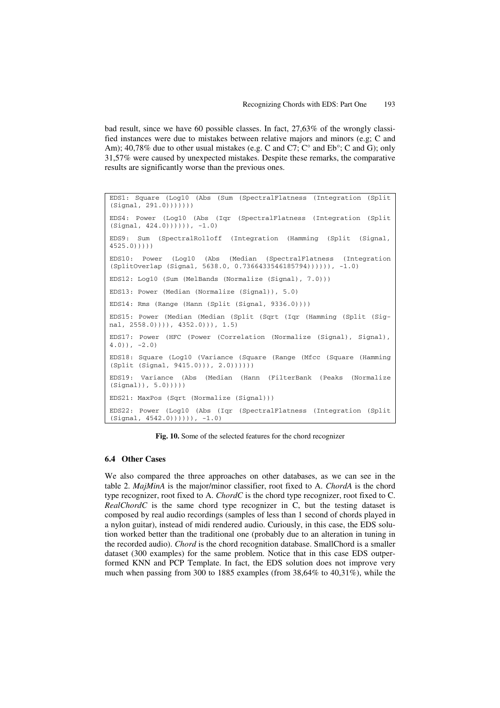bad result, since we have 60 possible classes. In fact, 27,63% of the wrongly classified instances were due to mistakes between relative majors and minors (e.g; C and Am);  $40,78\%$  due to other usual mistakes (e.g. C and C7; C° and Eb°; C and G); only 31,57% were caused by unexpected mistakes. Despite these remarks, the comparative results are significantly worse than the previous ones.

EDS1: Square (Log10 (Abs (Sum (SpectralFlatness (Integration (Split  $(Signal, 291.0))))$ ))) EDS4: Power (Log10 (Abs (Iqr (SpectralFlatness (Integration (Split (Signal, 424.0)))))), -1.0) EDS9: Sum (SpectralRolloff (Integration (Hamming (Split (Signal, 4525.0))))) EDS10: Power (Log10 (Abs (Median (SpectralFlatness (Integration (SplitOverlap (Signal, 5638.0, 0.7366433546185794)))))), -1.0) EDS12: Log10 (Sum (MelBands (Normalize (Signal), 7.0))) EDS13: Power (Median (Normalize (Signal)), 5.0) EDS14: Rms (Range (Hann (Split (Signal, 9336.0)))) EDS15: Power (Median (Median (Split (Sqrt (Iqr (Hamming (Split (Signal, 2558.0)))), 4352.0))), 1.5) EDS17: Power (HFC (Power (Correlation (Normalize (Signal), Signal),  $(4.0)$ ),  $-2.0$ ) EDS18: Square (Log10 (Variance (Square (Range (Mfcc (Square (Hamming (Split (Signal, 9415.0))), 2.0)))))) EDS19: Variance (Abs (Median (Hann (FilterBank (Peaks (Normalize (Signal)), 5.0))))) EDS21: MaxPos (Sqrt (Normalize (Signal))) EDS22: Power (Log10 (Abs (Iqr (SpectralFlatness (Integration (Split  $(Signal, 4542.0))))$ , -1.0)

**Fig. 10.** Some of the selected features for the chord recognizer

#### **6.4 Other Cases**

We also compared the three approaches on other databases, as we can see in the table 2. *MajMinA* is the major/minor classifier, root fixed to A. *ChordA* is the chord type recognizer, root fixed to A. *ChordC* is the chord type recognizer, root fixed to C. *RealChordC* is the same chord type recognizer in C, but the testing dataset is composed by real audio recordings (samples of less than 1 second of chords played in a nylon guitar), instead of midi rendered audio. Curiously, in this case, the EDS solution worked better than the traditional one (probably due to an alteration in tuning in the recorded audio). *Chord* is the chord recognition database. SmallChord is a smaller dataset (300 examples) for the same problem. Notice that in this case EDS outperformed KNN and PCP Template. In fact, the EDS solution does not improve very much when passing from 300 to 1885 examples (from 38,64% to 40,31%), while the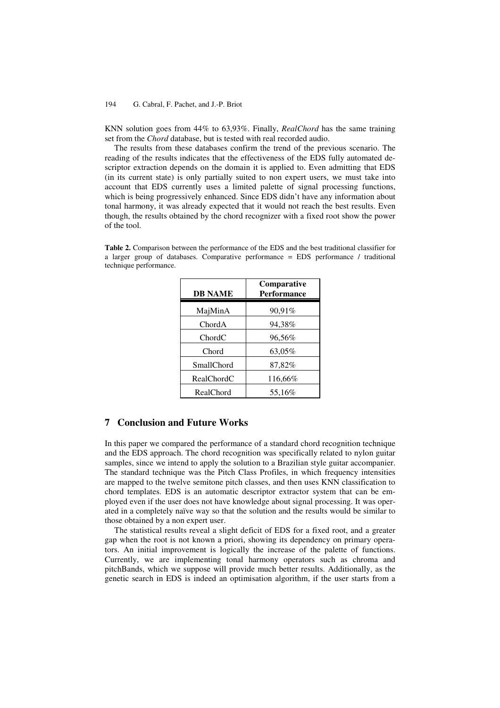KNN solution goes from 44% to 63,93%. Finally, *RealChord* has the same training set from the *Chord* database, but is tested with real recorded audio.

The results from these databases confirm the trend of the previous scenario. The reading of the results indicates that the effectiveness of the EDS fully automated descriptor extraction depends on the domain it is applied to. Even admitting that EDS (in its current state) is only partially suited to non expert users, we must take into account that EDS currently uses a limited palette of signal processing functions, which is being progressively enhanced. Since EDS didn't have any information about tonal harmony, it was already expected that it would not reach the best results. Even though, the results obtained by the chord recognizer with a fixed root show the power of the tool.

| <b>DB NAME</b> | Comparative<br>Performance |  |
|----------------|----------------------------|--|
| MajMinA        | 90,91%                     |  |
| ChordA         | 94,38%                     |  |
| ChordC         | 96,56%                     |  |
| Chord          | 63,05%                     |  |
| SmallChord     | 87,82%                     |  |
| RealChordC     | 116,66%                    |  |
| RealChord      | 55,16%                     |  |

**Table 2.** Comparison between the performance of the EDS and the best traditional classifier for a larger group of databases. Comparative performance = EDS performance / traditional technique performance.

# **7 Conclusion and Future Works**

In this paper we compared the performance of a standard chord recognition technique and the EDS approach. The chord recognition was specifically related to nylon guitar samples, since we intend to apply the solution to a Brazilian style guitar accompanier. The standard technique was the Pitch Class Profiles, in which frequency intensities are mapped to the twelve semitone pitch classes, and then uses KNN classification to chord templates. EDS is an automatic descriptor extractor system that can be employed even if the user does not have knowledge about signal processing. It was operated in a completely naïve way so that the solution and the results would be similar to those obtained by a non expert user.

The statistical results reveal a slight deficit of EDS for a fixed root, and a greater gap when the root is not known a priori, showing its dependency on primary operators. An initial improvement is logically the increase of the palette of functions. Currently, we are implementing tonal harmony operators such as chroma and pitchBands, which we suppose will provide much better results. Additionally, as the genetic search in EDS is indeed an optimisation algorithm, if the user starts from a